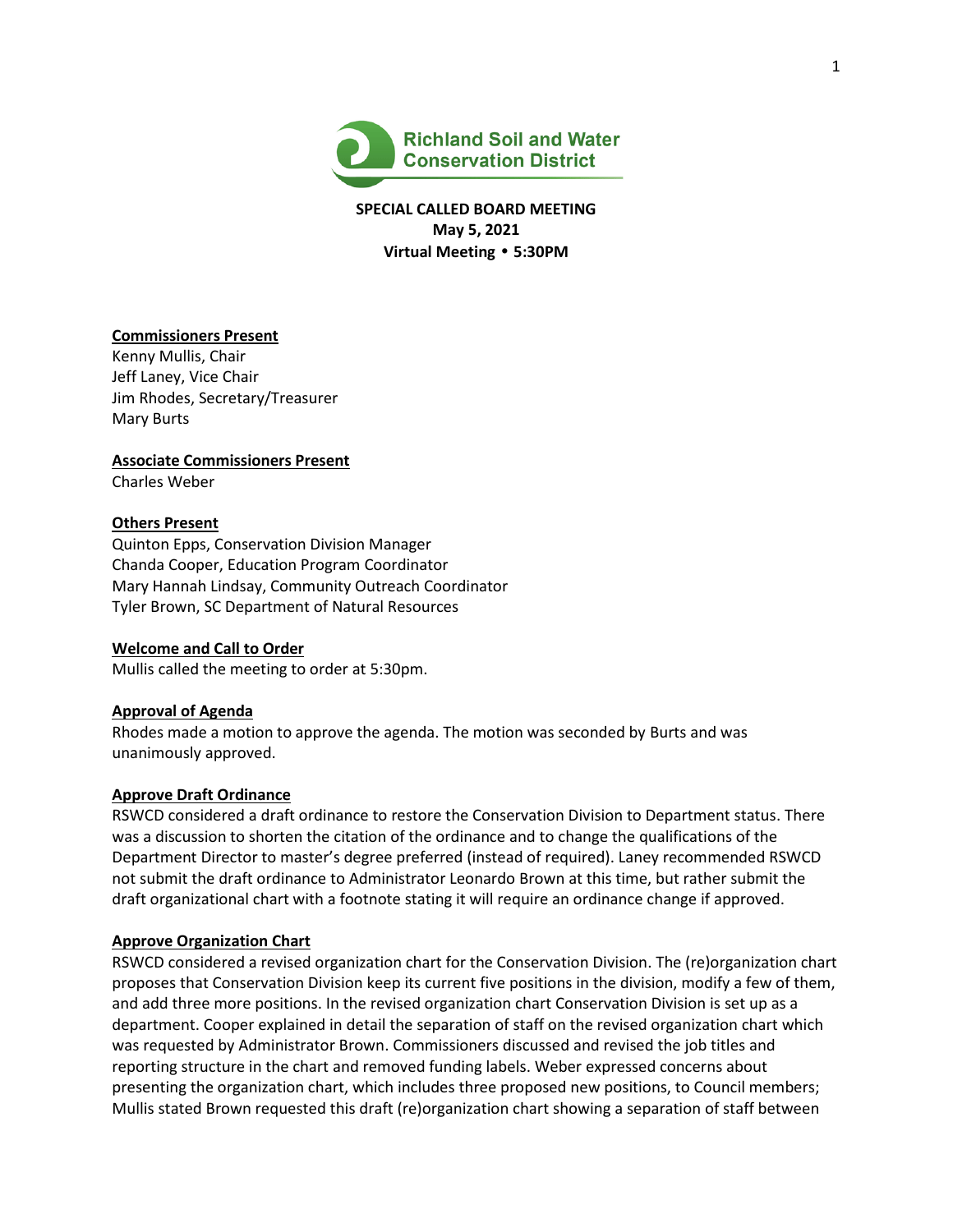

**SPECIAL CALLED BOARD MEETING May 5, 2021 Virtual Meeting** • **5:30PM**

# **Commissioners Present**

Kenny Mullis, Chair Jeff Laney, Vice Chair Jim Rhodes, Secretary/Treasurer Mary Burts

**Associate Commissioners Present**

Charles Weber

# **Others Present**

Quinton Epps, Conservation Division Manager Chanda Cooper, Education Program Coordinator Mary Hannah Lindsay, Community Outreach Coordinator Tyler Brown, SC Department of Natural Resources

## **Welcome and Call to Order**

Mullis called the meeting to order at 5:30pm.

#### **Approval of Agenda**

Rhodes made a motion to approve the agenda. The motion was seconded by Burts and was unanimously approved.

#### **Approve Draft Ordinance**

RSWCD considered a draft ordinance to restore the Conservation Division to Department status. There was a discussion to shorten the citation of the ordinance and to change the qualifications of the Department Director to master's degree preferred (instead of required). Laney recommended RSWCD not submit the draft ordinance to Administrator Leonardo Brown at this time, but rather submit the draft organizational chart with a footnote stating it will require an ordinance change if approved.

## **Approve Organization Chart**

RSWCD considered a revised organization chart for the Conservation Division. The (re)organization chart proposes that Conservation Division keep its current five positions in the division, modify a few of them, and add three more positions. In the revised organization chart Conservation Division is set up as a department. Cooper explained in detail the separation of staff on the revised organization chart which was requested by Administrator Brown. Commissioners discussed and revised the job titles and reporting structure in the chart and removed funding labels. Weber expressed concerns about presenting the organization chart, which includes three proposed new positions, to Council members; Mullis stated Brown requested this draft (re)organization chart showing a separation of staff between